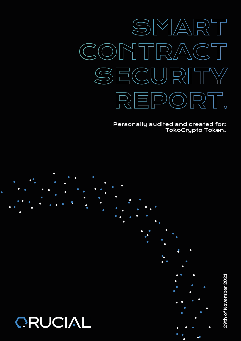

Personally audited and created for: TokoCrypto Token.



29th of November 2021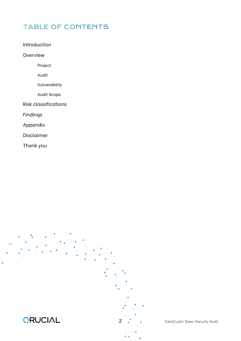# TABLE OF CONTENTS

Introduction

Overview

Project

Audit

Vulnerability

Audit Scope

Risk classifications

Findings

Appendix

Disclaimer

Thank you



2 . TokoCrypto Token Security Audit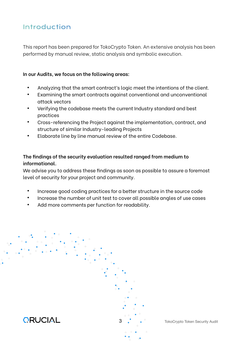# Introduction

This report has been prepared for TokoCrypto Token. An extensive analysis has been performed by manual review, static analysis and symbolic execution.

#### **In our Audits, we focus on the following areas:**

- Analyzing that the smart contract's logic meet the intentions of the client.
- Examining the smart contracts against conventional and unconventional attack vectors
- Verifying the codebase meets the current Industry standard and best practices
- Cross-referencing the Project against the implementation, contract, and structure of similar Industry-leading Projects
- Elaborate line by line manual review of the entire Codebase.

## **The findings of the security evaluation resulted ranged from medium to informational.**

We advise you to address these findings as soon as possible to assure a foremost level of security for your project and community.

- Increase good coding practices for a better structure in the source code
- Increase the number of unit test to cover all possible angles of use cases
- Add more comments per function for readability.



**3** . TokoCrypto Token Security Audit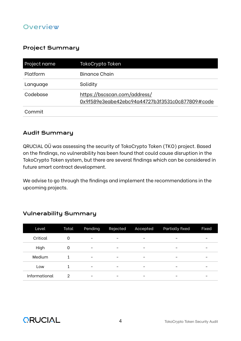## **Overview**

## Project Summary

| Project name | TokoCrypto Token                                                                |  |
|--------------|---------------------------------------------------------------------------------|--|
| Platform     | Binance Chain                                                                   |  |
| Language     | Solidity                                                                        |  |
| Codebase     | https://bscscan.com/address/<br>0x9f589e3eabe42ebc94a44727b3f3531c0c877809#code |  |
| Commit       |                                                                                 |  |

## Audit Summary

QRUCIAL OÜ was assessing the security of TokoCrypto Token (TKO) project. Based on the findings, no vulnerability has been found that could cause disruption in the TokoCrypto Token system, but there are several findings which can be considered in future smart contract development.

We advise to go through the findings and implement the recommendations in the upcoming projects.

| Level         | Total | Pending                  | Rejected                 | Accepted                 | <b>Partially fixed</b> | Fixed |
|---------------|-------|--------------------------|--------------------------|--------------------------|------------------------|-------|
| Critical      | 0     | $\overline{\phantom{0}}$ | $\overline{\phantom{0}}$ | $\overline{\phantom{a}}$ |                        | -     |
| High          | 0     | -                        | -                        | $\qquad \qquad$          |                        |       |
| Medium        |       | $\overline{\phantom{0}}$ | -                        | $\qquad \qquad$          |                        |       |
| Low           |       | -                        | $\overline{\phantom{0}}$ | $\overline{\phantom{a}}$ |                        | -     |
| Informational | 2     | -                        | -                        | $\qquad \qquad$          |                        |       |

## Vulnerability Summary

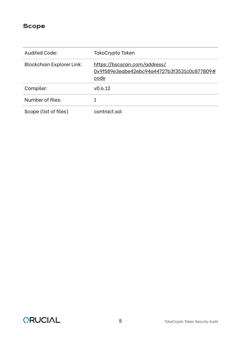## Scope

| Audited Code:                    | TokoCrypto Token                                                                    |
|----------------------------------|-------------------------------------------------------------------------------------|
| <b>Blockchain Explorer Link:</b> | https://bscscan.com/address/<br>0x9f589e3eabe42ebc94a44727b3f3531c0c877809#<br>code |
| Compiler:                        | V0.6.12                                                                             |
| Number of files:                 |                                                                                     |
| Scope (list of files)            | contract.sol                                                                        |

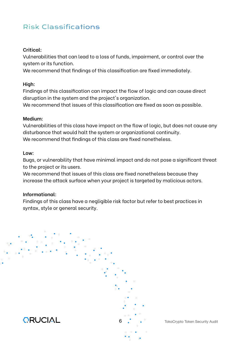# Risk Classifications

#### **Critical:**

Vulnerabilities that can lead to a loss of funds, impairment, or control over the system or its function.

We recommend that findings of this classification are fixed immediately.

#### **High:**

Findings of this classification can impact the flow of logic and can cause direct disruption in the system and the project's organization.

We recommend that issues of this classification are fixed as soon as possible.

#### **Medium:**

Vulnerabilities of this class have impact on the flow of logic, but does not cause any disturbance that would halt the system or organizational continuity. We recommend that findings of this class are fixed nonetheless.

#### **Low:**

Bugs, or vulnerability that have minimal impact and do not pose a significant threat to the project or its users.

We recommend that issues of this class are fixed nonetheless because they increase the attack surface when your project is targeted by malicious actors.

#### **Informational:**

Findings of this class have a negligible risk factor but refer to best practices in syntax, style or general security.



**6** . . TokoCrypto Token Security Audit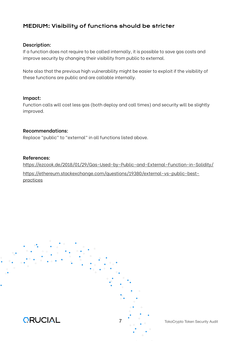## MEDIUM: Visibility of functions should be stricter

#### **Description:**

If a function does not require to be called internally, it is possible to save gas costs and improve security by changing their visibility from public to external.

Note also that the previous high vulnerability might be easier to exploit if the visibility of these functions are public and are callable internally.

#### **Impact:**

Function calls will cost less gas (both deploy and call times) and security will be slightly improved.

#### **Recommendations:**

Replace "public" to "external" in all functions listed above.

#### **References:**

htt[ps://ezcook.de/2018/01/29/Gas-Used-by-Public-and-External-Function-in-Solidity/](https://ezcook.de/2018/01/29/Gas-Used-by-Public-and-External-Function-in-Solidity/) htt[ps://ethereum.stackexchange.com/questions/19380/external-vs-public-best](https://ethereum.stackexchange.com/questions/19380/external-vs-public-best-practices)[practices](https://ethereum.stackexchange.com/questions/19380/external-vs-public-best-practices)

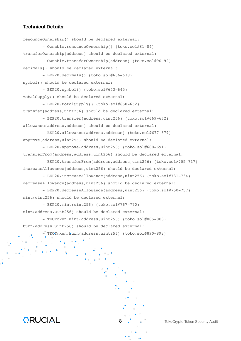renounceOwnership() should be declared external: - Ownable.renounceOwnership() (toko.sol#81-84) transferOwnership(address) should be declared external: - Ownable.transferOwnership(address) (toko.sol#90-92) decimals() should be declared external: - BEP20.decimals() (toko.sol#636-638) symbol() should be declared external: - BEP20.symbol() (toko.sol#643-645) totalSupply() should be declared external: - BEP20.totalSupply() (toko.sol#650-652) transfer(address,uint256) should be declared external: - BEP20.transfer(address,uint256) (toko.sol#669-672) allowance(address,address) should be declared external: - BEP20.allowance(address,address) (toko.sol#677-679) approve(address,uint256) should be declared external: - BEP20.approve(address,uint256) (toko.sol#688-691) transferFrom(address,address,uint256) should be declared external: - BEP20.transferFrom(address,address,uint256) (toko.sol#705-717) increaseAllowance(address,uint256) should be declared external: - BEP20.increaseAllowance(address,uint256) (toko.sol#731-734) decreaseAllowance(address,uint256) should be declared external: - BEP20.decreaseAllowance(address,uint256) (toko.sol#750-757) mint(uint256) should be declared external: - BEP20.mint(uint256) (toko.sol#767-770) mint(address,uint256) should be declared external: - TKOToken.mint(address,uint256) (toko.sol#885-888) burn(address, uint256) should be declared external:  $\overline{\phantom{a}}^{\circ}$  TKOT $\alpha$ ken.burn(address,uint256) (toko.sol#890-893)

**ORUCIAL** 

8 TokoCrypto Token Security Audit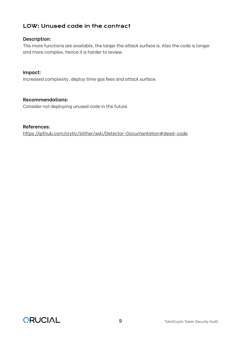## LOW: Unused code in the contract

#### **Description:**

The more functions are available, the larger the attack surface is. Also the code is longer and more complex, hence it is harder to review.

#### **Impact:**

Increased complexity, deploy time gas fees and attack surface.

#### **Recommendations:**

Consider not deploying unused code in the future.

#### **References:**

htt[ps://github.com/crytic/slither/wiki/Detector-Documentation#dead-code](https://github.com/crytic/slither/wiki/Detector-Documentation#dead-code)

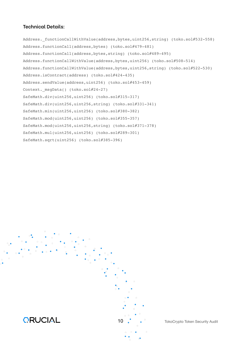Address. functionCallWithValue(address,bytes,uint256,string) (toko.sol#532-558) Address.functionCall(address,bytes) (toko.sol#479-481) Address.functionCall(address,bytes,string) (toko.sol#489-495) Address.functionCallWithValue(address,bytes,uint256) (toko.sol#508-514) Address.functionCallWithValue(address,bytes,uint256,string) (toko.sol#522-530) Address.isContract(address) (toko.sol#424-435) Address.sendValue(address,uint256) (toko.sol#453-459) Context. msgData() (toko.sol#24-27) SafeMath.div(uint256,uint256) (toko.sol#315-317) SafeMath.div(uint256,uint256,string) (toko.sol#331-341) SafeMath.min(uint256,uint256) (toko.sol#380-382) SafeMath.mod(uint256,uint256) (toko.sol#355-357) SafeMath.mod(uint256,uint256,string) (toko.sol#371-378) SafeMath.mul(uint256,uint256) (toko.sol#289-301) SafeMath.sqrt(uint256) (toko.sol#385-396)



10 **CELC COVER SECUTE TOKOC**rypto Token Security Audit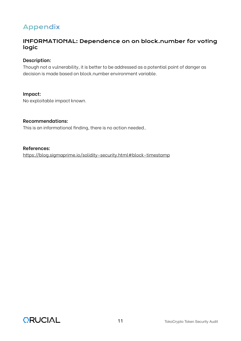# Appendix

## INFORMATIONAL: Dependence on on block.number for voting logic

#### **Description:**

Though not a vulnerability, it is better to be addressed as a potential point of danger as decision is made based on block.number environment variable.

#### **Impact:**

No exploitable impact known.

#### **Recommendations:**

This is an informational finding, there is no action needed..

#### **References:**

htt[ps://blog.sigmaprime.io/solidity-security.html#block-timestamp](https://blog.sigmaprime.io/solidity-security.html#block-timestamp)

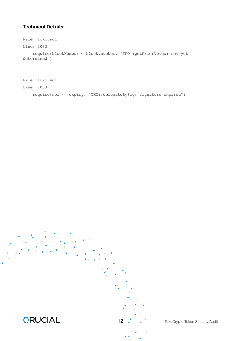```
File: toko.sol
Line: 1033
    require(blockNumber < block.number, "TKO::getPriorVotes: not yet 
determined")
```

```
File: toko.sol
Line: 1003
    require(now <= expiry, "TKO::delegateBySig: signature expired")
```


12 . Charles TokoCrypto Token Security Audit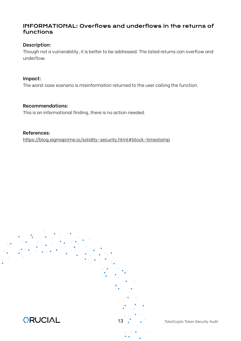## INFORMATIONAL: Overflows and underflows in the returns of functions

#### **Description:**

Though not a vulnerability, it is better to be addressed. The listed returns can overflow and underflow.

#### **Impact:**

The worst case scenario is misinformation returned to the user calling the function.

#### **Recommendations:**

This is an informational finding, there is no action needed.

#### **References:** htt[ps://blog.sigmaprime.io/solidity-security.html#block-timestamp](https://blog.sigmaprime.io/solidity-security.html#block-timestamp)



13 . . TokoCrypto Token Security Audit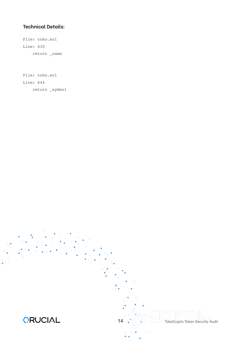File: toko.sol Line: 630 return \_name

File: toko.sol Line: 644 return \_symbol

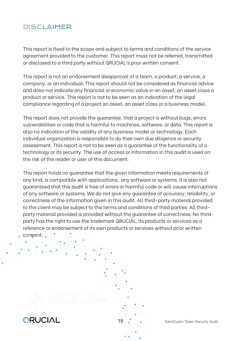# DISCLAIMER

This report is fixed to the scope and subject to terms and conditions of the service agreement provided to the customer. This report must not be referred, transmitted or disclosed to a third party without QRUCIAL's prior written consent.

This report is not an endorsement disapproval of a team, a product, a service, a company, or an individual. This report should not be considered as financial advice and does not indicate any financial or economic value in an asset, an asset class a product or service. This report is not to be seen as an indication of the legal compliance regarding of a project an asset, an asset class or a business model.

This report does not provide the guarantee, that a project is without bugs, errors vulnerabilities or code that is harmful to machines, software, or data. This report is also no indication of the validity of any business model or technology. Each individual organization is responsible to do their own due diligence or security assessment. This report is not to be seen as a guarantee of the functionality of a technology or its security. The use of access or information in this audit is used on the risk of the reader or user of this document.

This report holds no guarantee that the given information meets requirements of any kind, is compatible with applications, any software or systems. It is also not guaranteed that this audit is free of errors or harmful code or will cause interruptions of any software or systems. We do not give any guarantee of accuracy, reliability, or correctness of the information given in this audit. All third-party material provided to the client may be subject to the terms and conditions of third parties. All thirdparty material provided is provided without the guarantee of correctness. No thirdparty has the right to use the trademark QRUCIAL, its products or services as a reference or endorsement of its own products or services without prior written

consent.





15 . Charles TokoCrypto Token Security Audit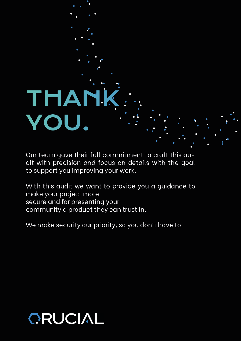# THANI VOU.

Our team gave their full commitment to craft this audit with precision and focus on details with the goal to support you improving your work.

With this audit we want to provide you a guidance to make your project more secure and for presenting your community a product they can trust in.

We make security our priority, so you don't have to.